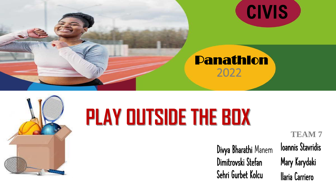



### Panathlon 2022



## **PLAY OUTSIDE THE BOX**

Divya Bharathi Manem Dimitrovski Stefan Sehri Gurbet Kolcu

Ioannis Stavridis Mary Karydaki Ilaria Carriero **TEAM 7**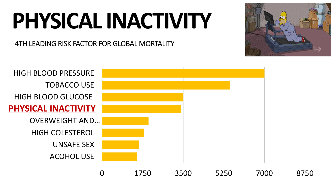# **PHYSICAL INACTIVITY**

4TH LEADING RISK FACTOR FOR GLOBAL MORTALITY



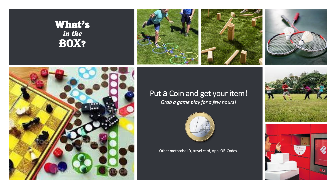#### What's *in the*  BOX?







#### Put a Coin and get your item!

*Grab a game play for a few hours!*



Other methods: ID, travel card, App, QR-Codes.



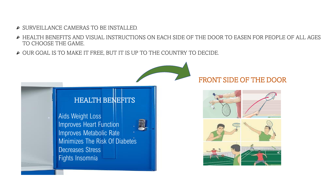- SURVEILLANCE CAMERAS TO BE INSTALLED.
- HEALTH BENEFITS AND VISUAL INSTRUCTIONS ON EACH SIDE OF THE DOOR TO EASEN FOR PEOPLE OF ALL AGES TO CHOOSE THE GAME.
- OUR GOAL IS TO MAKE IT FREE, BUT IT IS UP TO THE COUNTRY TO DECIDE.